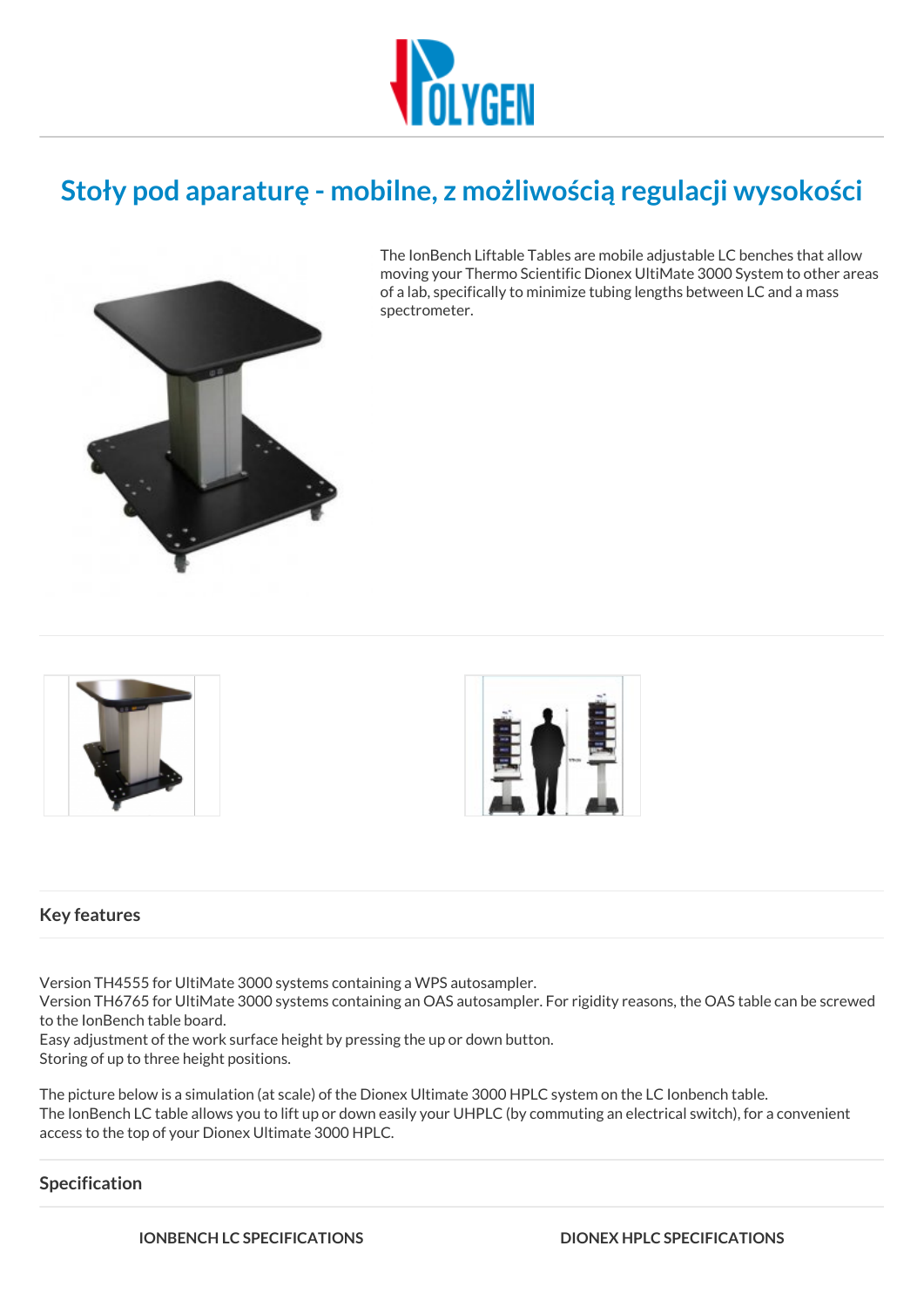

# **Stoły pod aparaturę - mobilne, z możliwością regulacji wysokości**



The IonBench Liftable Tables are mobile adjustable LC benches that allow moving your Thermo Scientific Dionex UltiMate 3000 System to other areas of a lab, specifically to minimize tubing lengths between LC and a mass spectrometer.





## **Key features**

Version TH4555 for UltiMate 3000 systems containing a WPS autosampler.

Version TH6765 for UltiMate 3000 systems containing an OAS autosampler. For rigidity reasons, the OAS table can be screwed to the IonBench table board.

Easy adjustment of the work surface height by pressing the up or down button. Storing of up to three height positions.

The picture below is a simulation (at scale) of the Dionex Ultimate 3000 HPLC system on the LC Ionbench table. The IonBench LC table allows you to lift up or down easily your UHPLC (by commuting an electrical switch), for a convenient access to the top of your Dionex Ultimate 3000 HPLC.

# **Specification**